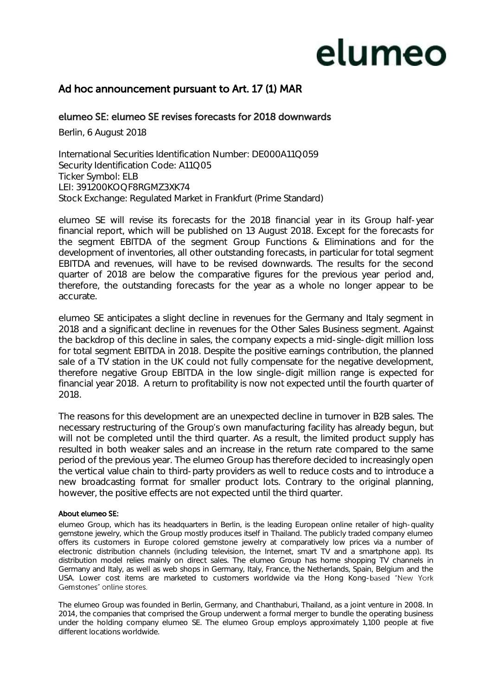# elumeo

### Ad hoc announcement pursuant to Art. 17 (1) MAR

### elumeo SE: elumeo SE revises forecasts for 2018 downwards

Berlin, 6 August 2018

International Securities Identification Number: DE000A11Q059 Security Identification Code: A11Q05 Ticker Symbol: ELB LEI: 391200KOQF8RGMZ3XK74 Stock Exchange: Regulated Market in Frankfurt (Prime Standard)

elumeo SE will revise its forecasts for the 2018 financial year in its Group half-year financial report, which will be published on 13 August 2018. Except for the forecasts for the segment EBITDA of the segment Group Functions & Eliminations and for the development of inventories, all other outstanding forecasts, in particular for total segment EBITDA and revenues, will have to be revised downwards. The results for the second quarter of 2018 are below the comparative figures for the previous year period and, therefore, the outstanding forecasts for the year as a whole no longer appear to be accurate.

elumeo SE anticipates a slight decline in revenues for the Germany and Italy segment in 2018 and a significant decline in revenues for the Other Sales Business segment. Against the backdrop of this decline in sales, the company expects a mid-single-digit million loss for total segment EBITDA in 2018. Despite the positive earnings contribution, the planned sale of a TV station in the UK could not fully compensate for the negative development, therefore negative Group EBITDA in the low single-digit million range is expected for financial year 2018. A return to profitability is now not expected until the fourth quarter of 2018.

The reasons for this development are an unexpected decline in turnover in B2B sales. The necessary restructuring of the Group's own manufacturing facility has already begun, but will not be completed until the third quarter. As a result, the limited product supply has resulted in both weaker sales and an increase in the return rate compared to the same period of the previous year. The elumeo Group has therefore decided to increasingly open the vertical value chain to third-party providers as well to reduce costs and to introduce a new broadcasting format for smaller product lots. Contrary to the original planning, however, the positive effects are not expected until the third quarter.

#### About elumeo SE:

elumeo Group, which has its headquarters in Berlin, is the leading European online retailer of high-quality gemstone jewelry, which the Group mostly produces itself in Thailand. The publicly traded company elumeo offers its customers in Europe colored gemstone jewelry at comparatively low prices via a number of electronic distribution channels (including television, the Internet, smart TV and a smartphone app). Its distribution model relies mainly on direct sales. The elumeo Group has home shopping TV channels in Germany and Italy, as well as web shops in Germany, Italy, France, the Netherlands, Spain, Belgium and the USA. Lower cost items are marketed to customers worldwide via the Hong Kong-based "New York Gemstones" online stores.

The elumeo Group was founded in Berlin, Germany, and Chanthaburi, Thailand, as a joint venture in 2008. In 2014, the companies that comprised the Group underwent a formal merger to bundle the operating business under the holding company elumeo SE. The elumeo Group employs approximately 1,100 people at five different locations worldwide.